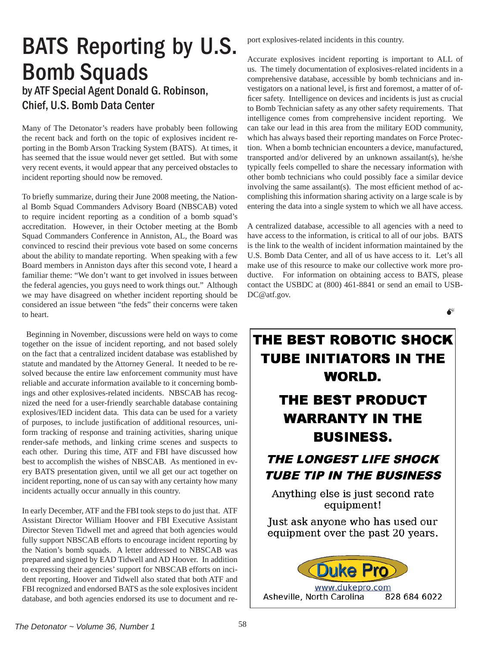## BATS Reporting by U.S. Bomb Squads by ATF Special Agent Donald G. Robinson,

Chief, U.S. Bomb Data Center

Many of The Detonator's readers have probably been following the recent back and forth on the topic of explosives incident reporting in the Bomb Arson Tracking System (BATS). At times, it has seemed that the issue would never get settled. But with some very recent events, it would appear that any perceived obstacles to incident reporting should now be removed.

To briefly summarize, during their June 2008 meeting, the National Bomb Squad Commanders Advisory Board (NBSCAB) voted to require incident reporting as a condition of a bomb squad's accreditation. However, in their October meeting at the Bomb Squad Commanders Conference in Anniston, AL, the Board was convinced to rescind their previous vote based on some concerns about the ability to mandate reporting. When speaking with a few Board members in Anniston days after this second vote, I heard a familiar theme: "We don't want to get involved in issues between the federal agencies, you guys need to work things out." Although we may have disagreed on whether incident reporting should be considered an issue between "the feds" their concerns were taken to heart.

 Beginning in November, discussions were held on ways to come together on the issue of incident reporting, and not based solely on the fact that a centralized incident database was established by statute and mandated by the Attorney General. It needed to be resolved because the entire law enforcement community must have reliable and accurate information available to it concerning bombings and other explosives-related incidents. NBSCAB has recognized the need for a user-friendly searchable database containing explosives/IED incident data. This data can be used for a variety of purposes, to include justification of additional resources, uniform tracking of response and training activities, sharing unique render-safe methods, and linking crime scenes and suspects to each other. During this time, ATF and FBI have discussed how best to accomplish the wishes of NBSCAB. As mentioned in every BATS presentation given, until we all get our act together on incident reporting, none of us can say with any certainty how many incidents actually occur annually in this country.

In early December, ATF and the FBI took steps to do just that. ATF Assistant Director William Hoover and FBI Executive Assistant Director Steven Tidwell met and agreed that both agencies would fully support NBSCAB efforts to encourage incident reporting by the Nation's bomb squads. A letter addressed to NBSCAB was prepared and signed by EAD Tidwell and AD Hoover. In addition to expressing their agencies' support for NBSCAB efforts on incident reporting, Hoover and Tidwell also stated that both ATF and FBI recognized and endorsed BATS as the sole explosives incident database, and both agencies endorsed its use to document and report explosives-related incidents in this country.

Accurate explosives incident reporting is important to ALL of us. The timely documentation of explosives-related incidents in a comprehensive database, accessible by bomb technicians and investigators on a national level, is first and foremost, a matter of officer safety. Intelligence on devices and incidents is just as crucial to Bomb Technician safety as any other safety requirements. That intelligence comes from comprehensive incident reporting. We can take our lead in this area from the military EOD community, which has always based their reporting mandates on Force Protection. When a bomb technician encounters a device, manufactured, transported and/or delivered by an unknown assailant(s), he/she typically feels compelled to share the necessary information with other bomb technicians who could possibly face a similar device involving the same assailant(s). The most efficient method of accomplishing this information sharing activity on a large scale is by entering the data into a single system to which we all have access.

A centralized database, accessible to all agencies with a need to have access to the information, is critical to all of our jobs. BATS is the link to the wealth of incident information maintained by the U.S. Bomb Data Center, and all of us have access to it. Let's all make use of this resource to make our collective work more productive. For information on obtaining access to BATS, please contact the USBDC at (800) 461-8841 or send an email to USB-DC@atf.gov.

 $\bullet^*$